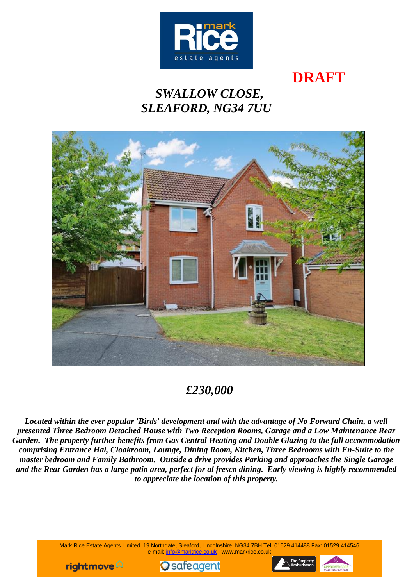

# **DRAFT**

# *SWALLOW CLOSE, SLEAFORD, NG34 7UU*



# *£230,000*

*Located within the ever popular 'Birds' development and with the advantage of No Forward Chain, a well presented Three Bedroom Detached House with Two Reception Rooms, Garage and a Low Maintenance Rear Garden. The property further benefits from Gas Central Heating and Double Glazing to the full accommodation comprising Entrance Hal, Cloakroom, Lounge, Dining Room, Kitchen, Three Bedrooms with En-Suite to the master bedroom and Family Bathroom. Outside a drive provides Parking and approaches the Single Garage and the Rear Garden has a large patio area, perfect for al fresco dining. Early viewing is highly recommended to appreciate the location of this property.*

> Mark Rice Estate Agents Limited, 19 Northgate, Sleaford, Lincolnshire, NG34 7BH Tel: 01529 414488 Fax: 01529 414546 e-mail: [info@markrice.co.uk](mailto:info@markrice.co.uk) www.markrice.co.uk





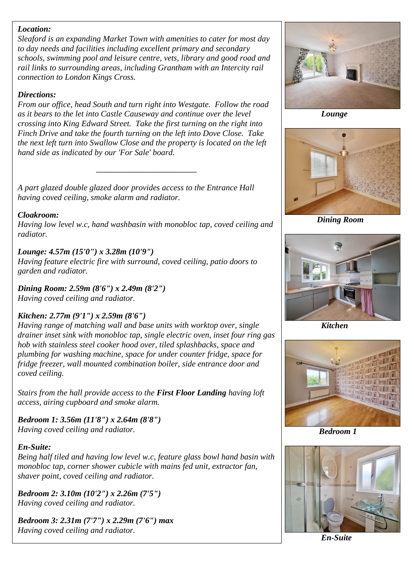### *Location:*

*Sleaford is an expanding Market Town with amenities to cater for most day to day needs and facilities including excellent primary and secondary schools, swimming pool and leisure centre, vets, library and good road and rail links to surrounding areas, including Grantham with an Intercity rail connection to London Kings Cross.*

### *Directions:*

*From our office, head South and turn right into Westgate. Follow the road as it bears to the let into Castle Causeway and continue over the level crossing into King Edward Street. Take the first turning on the right into Finch Drive and take the fourth turning on the left into Dove Close. Take the next left turn into Swallow Close and the property is located on the left hand side as indicated by our 'For Sale' board.*

*\_\_\_\_\_\_\_\_\_\_\_\_\_\_\_\_\_\_\_\_\_\_\_\_\_\_\_\_\_*

*A part glazed double glazed door provides access to the Entrance Hall having coved ceiling, smoke alarm and radiator.*

### *Cloakroom:*

*Having low level w.c, hand washbasin with monobloc tap, coved ceiling and radiator.*

### *Lounge: 4.57m (15'0") x 3.28m (10'9")*

*Having feature electric fire with surround, coved ceiling, patio doors to garden and radiator.*

*Dining Room: 2.59m (8'6") x 2.49m (8'2") Having coved ceiling and radiator.*

## *Kitchen: 2.77m (9'1") x 2.59m (8'6")*

*Having range of matching wall and base units with worktop over, single drainer inset sink with monobloc tap, single electric oven, inset four ring gas hob with stainless steel cooker hood over, tiled splashbacks, space and plumbing for washing machine, space for under counter fridge, space for fridge freezer, wall mounted combination boiler, side entrance door and coved ceiling.*

*Stairs from the hall provide access to the First Floor Landing having loft access, airing cupboard and smoke alarm.*

*Bedroom 1: 3.56m (11'8") x 2.64m (8'8") Having coved ceiling and radiator.*

### *En-Suite:*

*Being half tiled and having low level w.c, feature glass bowl hand basin with monobloc tap, corner shower cubicle with mains fed unit, extractor fan, shaver point, coved ceiling and radiator.*

*Bedroom 2: 3.10m (10'2") x 2.26m (7'5") Having coved ceiling and radiator.*

*Bedroom 3: 2.31m (7'7") x 2.29m (7'6") max Having coved ceiling and radiator.*



 *Lounge*



 *Dining Room*



 *Kitchen*



 *Bedroom 1*



 *En-Suite*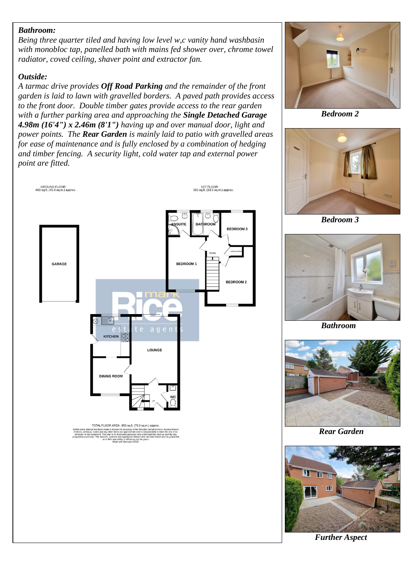#### *Bathroom:*

*Being three quarter tiled and having low level w,c vanity hand washbasin with monobloc tap, panelled bath with mains fed shower over, chrome towel radiator, coved ceiling, shaver point and extractor fan.*

### *Outside:*

*A tarmac drive provides Off Road Parking and the remainder of the front garden is laid to lawn with gravelled borders. A paved path provides access to the front door. Double timber gates provide access to the rear garden with a further parking area and approaching the Single Detached Garage 4.98m (16'4") x 2.46m (8'1") having up and over manual door, light and power points. The Rear Garden is mainly laid to patio with gravelled areas for ease of maintenance and is fully enclosed by a combination of hedging and timber fencing. A security light, cold water tap and external power point are fitted.*





 *Bedroom 2*



 *Bedroom 3*



 *Bathroom*



 *Rear Garden*



*Further Aspect*